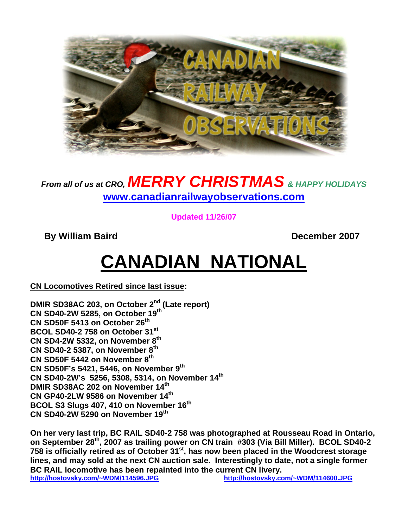

### *From all of us at CRO, MERRY CHRISTMAS & HAPPY HOLIDAYS* **www.canadianrailwayobservations.com**

**Updated 11/26/07** 

**By William Baird Community Community By William Baird Community December 2007** 

# **CANADIAN NATIONAL**

**CN Locomotives Retired since last issue:** 

**DMIR SD38AC 203, on October 2nd (Late report) CN SD40-2W 5285, on October 19th CN SD50F 5413 on October 26th BCOL SD40-2 758 on October 31st CN SD4-2W 5332, on November 8th CN SD40-2 5387, on November 8th CN SD50F 5442 on November 8th CN SD50F's 5421, 5446, on November 9th CN SD40-2W's 5256, 5308, 5314, on November 14th DMIR SD38AC 202 on November 14th CN GP40-2LW 9586 on November 14th BCOL S3 Slugs 407, 410 on November 16th CN SD40-2W 5290 on November 19th** 

**On her very last trip, BC RAIL SD40-2 758 was photographed at Rousseau Road in Ontario, on September 28th, 2007 as trailing power on CN train #303 (Via Bill Miller). BCOL SD40-2 758 is officially retired as of October 31st, has now been placed in the Woodcrest storage lines, and may sold at the next CN auction sale. Interestingly to date, not a single former BC RAIL locomotive has been repainted into the current CN livery. http://hostovsky.com/~WDM/114596.JPG http://hostovsky.com/~WDM/114600.JPG**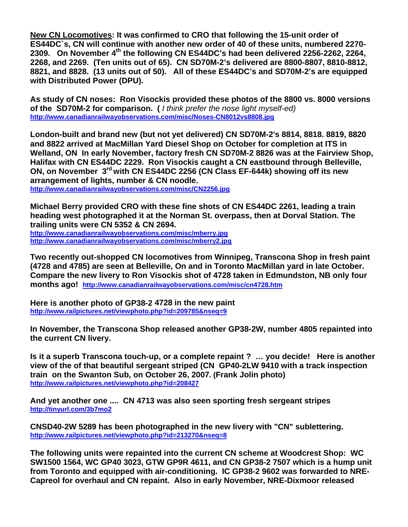**New CN Locomotives: It was confirmed to CRO that following the 15-unit order of ES44DC`s, CN will continue with another new order of 40 of these units, numbered 2270- 2309. On November 4th the following CN ES44DC's had been delivered 2256-2262, 2264, 2268, and 2269. (Ten units out of 65). CN SD70M-2's delivered are 8800-8807, 8810-8812, 8821, and 8828. (13 units out of 50). All of these ES44DC's and SD70M-2's are equipped with Distributed Power (DPU).** 

**As study of CN noses: Ron Visockis provided these photos of the 8800 vs. 8000 versions of the SD70M-2 for comparison. (** *I think prefer the nose light myself-ed)*  **http://www.canadianrailwayobservations.com/misc/Noses-CN8012vs8808.jpg**

**London-built and brand new (but not yet delivered) CN SD70M-2's 8814, 8818. 8819, 8820 and 8822 arrived at MacMillan Yard Diesel Shop on October for completion at ITS in Welland, ON In early November, factory fresh CN SD70M-2 8826 was at the Fairview Shop, Halifax with CN ES44DC 2229. Ron Visockis caught a CN eastbound through Belleville, ON, on November 3rd with CN ES44DC 2256 (CN Class EF-644k) showing off its new arrangement of lights, number & CN noodle.** 

**http://www.canadianrailwayobservations.com/misc/CN2256.jpg**

**Michael Berry provided CRO with these fine shots of CN ES44DC 2261, leading a train heading west photographed it at the Norman St. overpass, then at Dorval Station. The trailing units were CN 5352 & CN 2694.** 

**http://www.canadianrailwayobservations.com/misc/mberry.jpg http://www.canadianrailwayobservations.com/misc/mberry2.jpg**

**Two recently out-shopped CN locomotives from Winnipeg, Transcona Shop in fresh paint (4728 and 4785) are seen at Belleville, On and in Toronto MacMillan yard in late October. Compare the new livery to Ron Visockis shot of 4728 taken in Edmundston, NB only four months ago! http://www.canadianrailwayobservations.com/misc/cn4728.htm** 

**Here is another photo of GP38-2 4728 in the new paint http://www.railpictures.net/viewphoto.php?id=209785&nseq=9** 

**In November, the Transcona Shop released another GP38-2W, number 4805 repainted into the current CN livery.** 

**Is it a superb Transcona touch-up, or a complete repaint ? … you decide! Here is another view of the of that beautiful sergeant striped (CN GP40-2LW 9410 with a track inspection train on the Swanton Sub, on October 26, 2007. (Frank Jolin photo) http://www.railpictures.net/viewphoto.php?id=208427** 

**And yet another one .... CN 4713 was also seen sporting fresh sergeant stripes http://tinyurl.com/3b7mo2**

**CNSD40-2W 5289 has been photographed in the new livery with "CN" sublettering. http://www.railpictures.net/viewphoto.php?id=213270&nseq=8**

**The following units were repainted into the current CN scheme at Woodcrest Shop: WC SW1500 1564, WC GP40 3023, GTW GP9R 4611, and CN GP38-2 7507 which is a hump unit from Toronto and equipped with air-conditioning. IC GP38-2 9602 was forwarded to NRE-Capreol for overhaul and CN repaint. Also in early November, NRE-Dixmoor released**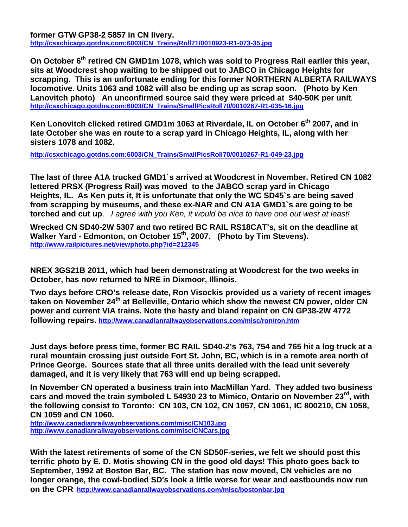**former GTW GP38-2 5857 in CN livery. http://csxchicago.gotdns.com:6003/CN\_Trains/Roll71/0010923-R1-073-35.jpg**

**On October 6th retired CN GMD1m 1078, which was sold to Progress Rail earlier this year, sits at Woodcrest shop waiting to be shipped out to JABCO in Chicago Heights for scrapping. This is an unfortunate ending for this former NORTHERN ALBERTA RAILWAYS locomotive. Units 1063 and 1082 will also be ending up as scrap soon. (Photo by Ken Lanovitch photo) An unconfirmed source said they were priced at \$40-50K per unit. http://csxchicago.gotdns.com:6003/CN\_Trains/SmallPicsRoll70/0010267-R1-035-16.jpg**

Ken Lonovitch clicked retired GMD1m 1063 at Riverdale, IL on October 6<sup>th</sup> 2007, and in **late October she was en route to a scrap yard in Chicago Heights, IL, along with her sisters 1078 and 1082.** 

**http://csxchicago.gotdns.com:6003/CN\_Trains/SmallPicsRoll70/0010267-R1-049-23.jpg**

**The last of three A1A trucked GMD1`s arrived at Woodcrest in November. Retired CN 1082 lettered PRSX (Progress Rail) was moved to the JABCO scrap yard in Chicago Heights, IL. As Ken puts it, It is unfortunate that only the WC SD45`s are being saved from scrapping by museums, and these ex-NAR and CN A1A GMD1`s are going to be torched and cut up**. *I agree with you Ken, it would be nice to have one out west at least!* 

**Wrecked CN SD40-2W 5307 and two retired BC RAIL RS18CAT's, sit on the deadline at**  Walker Yard - Edmonton, on October 15<sup>th</sup>, 2007. (Photo by Tim Stevens). **http://www.railpictures.net/viewphoto.php?id=212345**

**NREX 3GS21B 2011, which had been demonstrating at Woodcrest for the two weeks in October, has now returned to NRE in Dixmoor, Illinois.** 

**Two days before CRO's release date, Ron Visockis provided us a variety of recent images**  taken on November 24<sup>th</sup> at Belleville, Ontario which show the newest CN power, older CN **power and current VIA trains. Note the hasty and bland repaint on CN GP38-2W 4772 following repairs. http://www.canadianrailwayobservations.com/misc/ron/ron.htm**

**Just days before press time, former BC RAIL SD40-2's 763, 754 and 765 hit a log truck at a rural mountain crossing just outside Fort St. John, BC, which is in a remote area north of Prince George. Sources state that all three units derailed with the lead unit severely damaged, and it is very likely that 763 will end up being scrapped.**

**In November CN operated a business train into MacMillan Yard. They added two business cars and moved the train symboled L 54930 23 to Mimico, Ontario on November 23rd, with the following consist to Toronto: CN 103, CN 102, CN 1057, CN 1061, IC 800210, CN 1058, CN 1059 and CN 1060.** 

**http://www.canadianrailwayobservations.com/misc/CN103.jpg http://www.canadianrailwayobservations.com/misc/CNCars.jpg**

**With the latest retirements of some of the CN SD50F-series, we felt we should post this terrific photo by E. D. Motis showing CN in the good old days! This photo goes back to September, 1992 at Boston Bar, BC. The station has now moved, CN vehicles are no longer orange, the cowl-bodied SD's look a little worse for wear and eastbounds now run on the CPR http://www.canadianrailwayobservations.com/misc/bostonbar.jpg**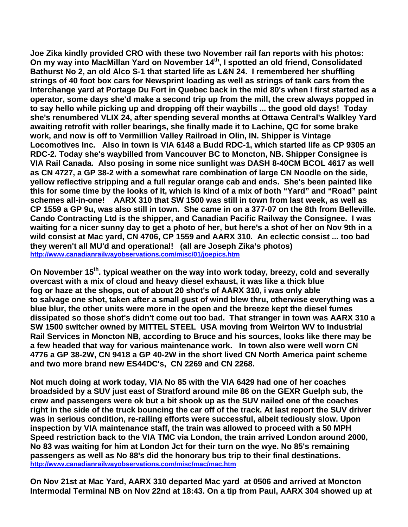**Joe Zika kindly provided CRO with these two November rail fan reports with his photos: On my way into MacMillan Yard on November 14th, I spotted an old friend, Consolidated Bathurst No 2, an old Alco S-1 that started life as L&N 24. I remembered her shuffling strings of 40 foot box cars for Newsprint loading as well as strings of tank cars from the Interchange yard at Portage Du Fort in Quebec back in the mid 80's when I first started as a operator, some days she'd make a second trip up from the mill, the crew always popped in to say hello while picking up and dropping off their waybills ... the good old days! Today she's renumbered VLIX 24, after spending several months at Ottawa Central's Walkley Yard awaiting retrofit with roller bearings, she finally made it to Lachine, QC for some brake work, and now is off to Vermillion Valley Railroad in Olin, IN. Shipper is Vintage Locomotives Inc. Also in town is VIA 6148 a Budd RDC-1, which started life as CP 9305 an RDC-2. Today she's waybilled from Vancouver BC to Moncton, NB. Shipper Consignee is VIA Rail Canada. Also posing in some nice sunlight was DASH 8-40CM BCOL 4617 as well as CN 4727, a GP 38-2 with a somewhat rare combination of large CN Noodle on the side, yellow reflective stripping and a full regular orange cab and ends. She's been painted like this for some time by the looks of it, which is kind of a mix of both "Yard" and "Road" paint schemes all-in-one! AARX 310 that SW 1500 was still in town from last week, as well as CP 1559 a GP 9u, was also still in town. She came in on a 377-07 on the 8th from Belleville. Cando Contracting Ltd is the shipper, and Canadian Pacific Railway the Consignee. I was waiting for a nicer sunny day to get a photo of her, but here's a shot of her on Nov 9th in a wild consist at Mac yard, CN 4706, CP 1559 and AARX 310. An eclectic consist ... too bad they weren't all MU'd and operational! (all are Joseph Zika's photos) http://www.canadianrailwayobservations.com/misc/01/joepics.htm**

**On November 15th. typical weather on the way into work today, breezy, cold and severally overcast with a mix of cloud and heavy diesel exhaust, it was like a thick blue fog or haze at the shops, out of about 20 shot's of AARX 310, i was only able to salvage one shot, taken after a small gust of wind blew thru, otherwise everything was a blue blur, the other units were more in the open and the breeze kept the diesel fumes dissipated so those shot's didn't come out too bad. That stranger in town was AARX 310 a SW 1500 switcher owned by MITTEL STEEL USA moving from Weirton WV to Industrial Rail Services in Moncton NB, according to Bruce and his sources, looks like there may be a few headed that way for various maintenance work. In town also were well worn CN 4776 a GP 38-2W, CN 9418 a GP 40-2W in the short lived CN North America paint scheme and two more brand new ES44DC's, CN 2269 and CN 2268.** 

**Not much doing at work today, VIA No 85 with the VIA 6429 had one of her coaches broadsided by a SUV just east of Stratford around mile 86 on the GEXR Guelph sub, the crew and passengers were ok but a bit shook up as the SUV nailed one of the coaches right in the side of the truck bouncing the car off of the track. At last report the SUV driver was in serious condition, re-railing efforts were successful, albeit tediously slow. Upon inspection by VIA maintenance staff, the train was allowed to proceed with a 50 MPH Speed restriction back to the VIA TMC via London, the train arrived London around 2000, No 83 was waiting for him at London Jct for their turn on the wye. No 85's remaining passengers as well as No 88's did the honorary bus trip to their final destinations. http://www.canadianrailwayobservations.com/misc/mac/mac.htm**

**On Nov 21st at Mac Yard, AARX 310 departed Mac yard at 0506 and arrived at Moncton Intermodal Terminal NB on Nov 22nd at 18:43. On a tip from Paul, AARX 304 showed up at**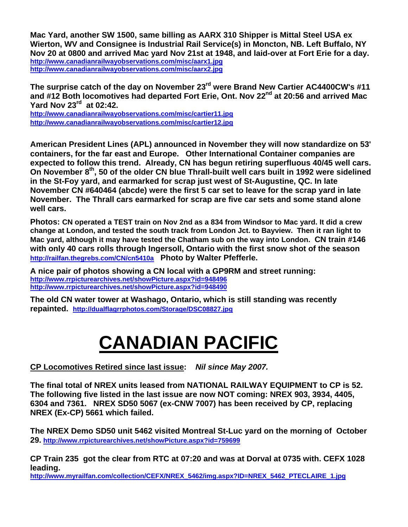**Mac Yard, another SW 1500, same billing as AARX 310 Shipper is Mittal Steel USA ex Wierton, WV and Consignee is Industrial Rail Service(s) in Moncton, NB. Left Buffalo, NY Nov 20 at 0800 and arrived Mac yard Nov 21st at 1948, and laid-over at Fort Erie for a day. http://www.canadianrailwayobservations.com/misc/aarx1.jpg http://www.canadianrailwayobservations.com/misc/aarx2.jpg**

**The surprise catch of the day on November 23rd were Brand New Cartier AC4400CW's #11**  and #12 Both locomotives had departed Fort Erie, Ont. Nov 22<sup>nd</sup> at 20:56 and arrived Mac **Yard Nov 23rd at 02:42.** 

**http://www.canadianrailwayobservations.com/misc/cartier11.jpg http://www.canadianrailwayobservations.com/misc/cartier12.jpg**

**American President Lines (APL) announced in November they will now standardize on 53' containers, for the far east and Europe. Other International Container companies are expected to follow this trend. Already, CN has begun retiring superfluous 40/45 well cars. On November 8th, 50 of the older CN blue Thrall-built well cars built in 1992 were sidelined in the St-Foy yard, and earmarked for scrap just west of St-Augustine, QC. In late November CN #640464 (abcde) were the first 5 car set to leave for the scrap yard in late November. The Thrall cars earmarked for scrap are five car sets and some stand alone well cars.** 

**Photos: CN operated a TEST train on Nov 2nd as a 834 from Windsor to Mac yard. It did a crew change at London, and tested the south track from London Jct. to Bayview. Then it ran light to Mac yard, although it may have tested the Chatham sub on the way into London. CN train #146 with only 40 cars rolls through Ingersoll, Ontario with the first snow shot of the season http://railfan.thegrebs.com/CN/cn5410a Photo by Walter Pfefferle.** 

**A nice pair of photos showing a CN local with a GP9RM and street running: http://www.rrpicturearchives.net/showPicture.aspx?id=948496 http://www.rrpicturearchives.net/showPicture.aspx?id=948490**

**The old CN water tower at Washago, Ontario, which is still standing was recently repainted. http://dualflagrrphotos.com/Storage/DSC08827.jpg**

# **CANADIAN PACIFIC**

#### **CP Locomotives Retired since last issue:** *Nil since May 2007.*

**The final total of NREX units leased from NATIONAL RAILWAY EQUIPMENT to CP is 52. The following five listed in the last issue are now NOT coming: NREX 903, 3934, 4405, 6304 and 7361. NREX SD50 5067 (ex-CNW 7007) has been received by CP, replacing NREX (Ex-CP) 5661 which failed.** 

**The NREX Demo SD50 unit 5462 visited Montreal St-Luc yard on the morning of October 29. http://www.rrpicturearchives.net/showPicture.aspx?id=759699**

**CP Train 235 got the clear from RTC at 07:20 and was at Dorval at 0735 with. CEFX 1028 leading.** 

**http://www.myrailfan.com/collection/CEFX/NREX\_5462/img.aspx?ID=NREX\_5462\_PTECLAIRE\_1.jpg**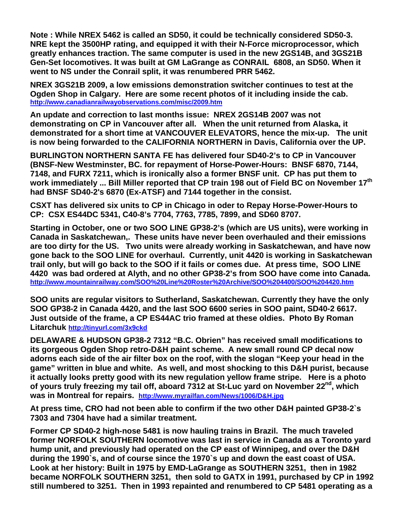**Note : While NREX 5462 is called an SD50, it could be technically considered SD50-3. NRE kept the 3500HP rating, and equipped it with their N-Force microprocessor, which greatly enhances traction. The same computer is used in the new 2GS14B, and 3GS21B Gen-Set locomotives. It was built at GM LaGrange as CONRAIL 6808, an SD50. When it went to NS under the Conrail split, it was renumbered PRR 5462.** 

**NREX 3GS21B 2009, a low emissions demonstration switcher continues to test at the Ogden Shop in Calgary. Here are some recent photos of it including inside the cab. http://www.canadianrailwayobservations.com/misc/2009.htm**

**An update and correction to last months issue: NREX 2GS14B 2007 was not demonstrating on CP in Vancouver after all. When the unit returned from Alaska, it demonstrated for a short time at VANCOUVER ELEVATORS, hence the mix-up. The unit is now being forwarded to the CALIFORNIA NORTHERN in Davis, California over the UP.** 

**BURLINGTON NORTHERN SANTA FE has delivered four SD40-2's to CP in Vancouver (BNSF-New Westminster, BC. for repayment of Horse-Power-Hours: BNSF 6870, 7144, 7148, and FURX 7211, which is ironically also a former BNSF unit. CP has put them to**  work immediately ... Bill Miller reported that CP train 198 out of Field BC on November 17<sup>th</sup> **had BNSF SD40-2's 6870 (Ex-ATSF) and 7144 together in the consist.** 

**CSXT has delivered six units to CP in Chicago in oder to Repay Horse-Power-Hours to CP: CSX ES44DC 5341, C40-8's 7704, 7763, 7785, 7899, and SD60 8707.** 

**Starting in October, one or two SOO LINE GP38-2's (which are US units), were working in Canada in Saskatchewan,. These units have never been overhauled and their emissions are too dirty for the US. Two units were already working in Saskatchewan, and have now gone back to the SOO LINE for overhaul. Currently, unit 4420 is working in Saskatchewan trail only, but will go back to the SOO if it fails or comes due. At press time, SOO LINE 4420 was bad ordered at Alyth, and no other GP38-2's from SOO have come into Canada. http://www.mountainrailway.com/SOO%20Line%20Roster%20Archive/SOO%204400/SOO%204420.htm**

**SOO units are regular visitors to Sutherland, Saskatchewan. Currently they have the only SOO GP38-2 in Canada 4420, and the last SOO 6600 series in SOO paint, SD40-2 6617. Just outside of the frame, a CP ES44AC trio framed at these oldies. Photo By Roman Litarchuk http://tinyurl.com/3x9ckd**

**DELAWARE & HUDSON GP38-2 7312 "B.C. Obrien" has received small modifications to its gorgeous Ogden Shop retro-D&H paint scheme. A new small round CP decal now adorns each side of the air filter box on the roof, with the slogan "Keep your head in the game" written in blue and white. As well, and most shocking to this D&H purist, because it actually looks pretty good with its new regulation yellow frame stripe. Here is a photo**  of yours truly freezing my tail off, aboard 7312 at St-Luc yard on November 22<sup>nd</sup>, which **was in Montreal for repairs. http://www.myrailfan.com/News/1006/D&H.jpg**

**At press time, CRO had not been able to confirm if the two other D&H painted GP38-2`s 7303 and 7304 have had a similar treatment.** 

**Former CP SD40-2 high-nose 5481 is now hauling trains in Brazil. The much traveled former NORFOLK SOUTHERN locomotive was last in service in Canada as a Toronto yard hump unit, and previously had operated on the CP east of Winnipeg, and over the D&H during the 1990`s, and of course since the 1970`s up and down the east coast of USA. Look at her history: Built in 1975 by EMD-LaGrange as SOUTHERN 3251, then in 1982 became NORFOLK SOUTHERN 3251, then sold to GATX in 1991, purchased by CP in 1992 still numbered to 3251. Then in 1993 repainted and renumbered to CP 5481 operating as a**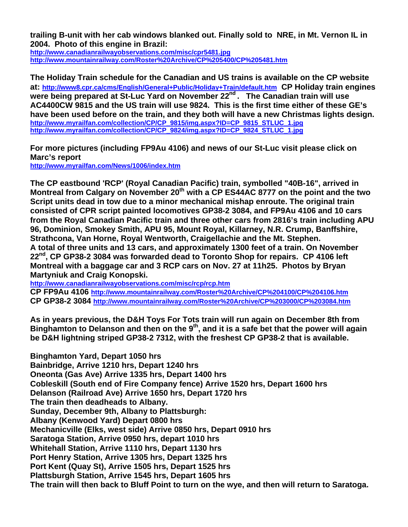**trailing B-unit with her cab windows blanked out. Finally sold to NRE, in Mt. Vernon IL in 2004. Photo of this engine in Brazil:**

**http://www.canadianrailwayobservations.com/misc/cpr5481.jpg http://www.mountainrailway.com/Roster%20Archive/CP%205400/CP%205481.htm**

**The Holiday Train schedule for the Canadian and US trains is available on the CP website at: http://www8.cpr.ca/cms/English/General+Public/Holiday+Train/default.htm****CP Holiday train engines**  were being prepared at St-Luc Yard on November 22<sup>nd</sup> . The Canadian train will use **AC4400CW 9815 and the US train will use 9824. This is the first time either of these GE's have been used before on the train, and they both will have a new Christmas lights design. http://www.myrailfan.com/collection/CP/CP\_9815/img.aspx?ID=CP\_9815\_STLUC\_1.jpg http://www.myrailfan.com/collection/CP/CP\_9824/img.aspx?ID=CP\_9824\_STLUC\_1.jpg**

**For more pictures (including FP9Au 4106) and news of our St-Luc visit please click on Marc's report http://www.myrailfan.com/News/1006/index.htm** 

**The CP eastbound 'RCP' (Royal Canadian Pacific) train, symbolled "40B-16", arrived in Montreal from Calgary on November 20<sup>th</sup> with a CP ES44AC 8777 on the point and the two Script units dead in tow due to a minor mechanical mishap enroute. The original train consisted of CPR script painted locomotives GP38-2 3084, and FP9Au 4106 and 10 cars from the Royal Canadian Pacific train and three other cars from 2816's train including APU 96, Dominion, Smokey Smith, APU 95, Mount Royal, Killarney, N.R. Crump, Banffshire, Strathcona, Van Horne, Royal Wentworth, Craigellachie and the Mt. Stephen. A total of three units and 13 cars, and approximately 1300 feet of a train. On November 22nd, CP GP38-2 3084 was forwarded dead to Toronto Shop for repairs. CP 4106 left Montreal with a baggage car and 3 RCP cars on Nov. 27 at 11h25. Photos by Bryan Martyniuk and Craig Konopski.** 

**http://www.canadianrailwayobservations.com/misc/rcp/rcp.htm** 

**CP FP9Au 4106 http://www.mountainrailway.com/Roster%20Archive/CP%204100/CP%204106.htm CP GP38-2 3084 http://www.mountainrailway.com/Roster%20Archive/CP%203000/CP%203084.htm**

**As in years previous, the D&H Toys For Tots train will run again on December 8th from**  Binghamton to Delanson and then on the 9<sup>th</sup>, and it is a safe bet that the power will again **be D&H lightning striped GP38-2 7312, with the freshest CP GP38-2 that is available.** 

**Binghamton Yard, Depart 1050 hrs Bainbridge, Arrive 1210 hrs, Depart 1240 hrs Oneonta (Gas Ave) Arrive 1335 hrs, Depart 1400 hrs Cobleskill (South end of Fire Company fence) Arrive 1520 hrs, Depart 1600 hrs Delanson (Railroad Ave) Arrive 1650 hrs, Depart 1720 hrs The train then deadheads to Albany. Sunday, December 9th, Albany to Plattsburgh: Albany (Kenwood Yard) Depart 0800 hrs Mechanicville (Elks, west side) Arrive 0850 hrs, Depart 0910 hrs Saratoga Station, Arrive 0950 hrs, depart 1010 hrs Whitehall Station, Arrive 1110 hrs, Depart 1130 hrs Port Henry Station, Arrive 1305 hrs, Depart 1325 hrs Port Kent (Quay St), Arrive 1505 hrs, Depart 1525 hrs Plattsburgh Station, Arrive 1545 hrs, Depart 1605 hrs The train will then back to Bluff Point to turn on the wye, and then will return to Saratoga.**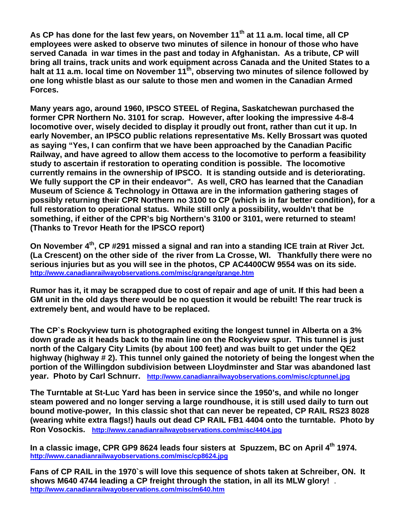As CP has done for the last few years, on November 11<sup>th</sup> at 11 a.m. local time, all CP **employees were asked to observe two minutes of silence in honour of those who have served Canada in war times in the past and today in Afghanistan. As a tribute, CP will bring all trains, track units and work equipment across Canada and the United States to a**  halt at 11 a.m. local time on November 11<sup>th</sup>, observing two minutes of silence followed by **one long whistle blast as our salute to those men and women in the Canadian Armed Forces.** 

**Many years ago, around 1960, IPSCO STEEL of Regina, Saskatchewan purchased the former CPR Northern No. 3101 for scrap. However, after looking the impressive 4-8-4 locomotive over, wisely decided to display it proudly out front, rather than cut it up. In early November, an IPSCO public relations representative Ms. Kelly Brossart was quoted as saying "Yes, I can confirm that we have been approached by the Canadian Pacific Railway, and have agreed to allow them access to the locomotive to perform a feasibility study to ascertain if restoration to operating condition is possible. The locomotive currently remains in the ownership of IPSCO. It is standing outside and is deteriorating. We fully support the CP in their endeavor". As well, CRO has learned that the Canadian Museum of Science & Technology in Ottawa are in the information gathering stages of possibly returning their CPR Northern no 3100 to CP (which is in far better condition), for a full restoration to operational status. While still only a possibility, wouldn't that be something, if either of the CPR's big Northern's 3100 or 3101, were returned to steam! (Thanks to Trevor Heath for the IPSCO report)** 

**On November 4th, CP #291 missed a signal and ran into a standing ICE train at River Jct. (La Crescent) on the other side of the river from La Crosse, WI. Thankfully there were no serious injuries but as you will see in the photos, CP AC4400CW 9554 was on its side. http://www.canadianrailwayobservations.com/misc/grange/grange.htm**

**Rumor has it, it may be scrapped due to cost of repair and age of unit. If this had been a GM unit in the old days there would be no question it would be rebuilt! The rear truck is extremely bent, and would have to be replaced.** 

**The CP`s Rockyview turn is photographed exiting the longest tunnel in Alberta on a 3% down grade as it heads back to the main line on the Rockyview spur. This tunnel is just north of the Calgary City Limits (by about 100 feet) and was built to get under the QE2 highway (highway # 2). This tunnel only gained the notoriety of being the longest when the portion of the Willingdon subdivision between Lloydminster and Star was abandoned last year. Photo by Carl Schnurr. http://www.canadianrailwayobservations.com/misc/cptunnel.jpg**

**The Turntable at St-Luc Yard has been in service since the 1950's, and while no longer steam powered and no longer serving a large roundhouse, it is still used daily to turn out bound motive-power, In this classic shot that can never be repeated, CP RAIL RS23 8028 (wearing white extra flags!) hauls out dead CP RAIL FB1 4404 onto the turntable. Photo by Ron Vosockis. http://www.canadianrailwayobservations.com/misc/4404.jpg**

**In a classic image, CPR GP9 8624 leads four sisters at Spuzzem, BC on April 4th 1974. http://www.canadianrailwayobservations.com/misc/cp8624.jpg**

**Fans of CP RAIL in the 1970`s will love this sequence of shots taken at Schreiber, ON. It shows M640 4744 leading a CP freight through the station, in all its MLW glory!** . **http://www.canadianrailwayobservations.com/misc/m640.htm**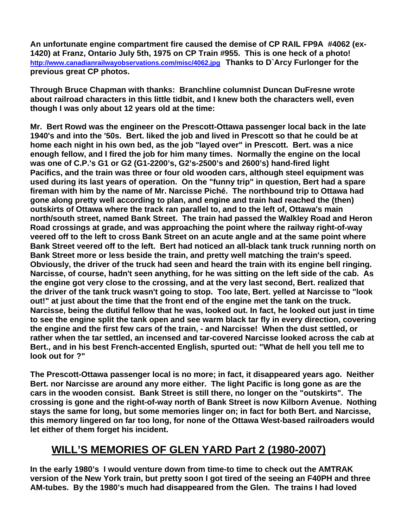**An unfortunate engine compartment fire caused the demise of CP RAIL FP9A #4062 (ex-1420) at Franz, Ontario July 5th, 1975 on CP Train #955. This is one heck of a photo! http://www.canadianrailwayobservations.com/misc/4062.jpg Thanks to D`Arcy Furlonger for the previous great CP photos.** 

**Through Bruce Chapman with thanks: Branchline columnist Duncan DuFresne wrote about railroad characters in this little tidbit, and I knew both the characters well, even though I was only about 12 years old at the time:** 

**Mr. Bert Rowd was the engineer on the Prescott-Ottawa passenger local back in the late 1940's and into the '50s. Bert. liked the job and lived in Prescott so that he could be at home each night in his own bed, as the job "layed over" in Prescott. Bert. was a nice enough fellow, and I fired the job for him many times. Normally the engine on the local was one of C.P.'s G1 or G2 (G1-2200's, G2's-2500's and 2600's) hand-fired light Pacifics, and the train was three or four old wooden cars, although steel equipment was used during its last years of operation. On the "funny trip" in question, Bert had a spare fireman with him by the name of Mr. Narcisse Piché. The northbound trip to Ottawa had gone along pretty well according to plan, and engine and train had reached the (then) outskirts of Ottawa where the track ran parallel to, and to the left of, Ottawa's main north/south street, named Bank Street. The train had passed the Walkley Road and Heron Road crossings at grade, and was approaching the point where the railway right-of-way veered off to the left to cross Bank Street on an acute angle and at the same point where Bank Street veered off to the left. Bert had noticed an all-black tank truck running north on Bank Street more or less beside the train, and pretty well matching the train's speed. Obviously, the driver of the truck had seen and heard the train with its engine bell ringing. Narcisse, of course, hadn't seen anything, for he was sitting on the left side of the cab. As the engine got very close to the crossing, and at the very last second, Bert. realized that the driver of the tank truck wasn't going to stop. Too late, Bert. yelled at Narcisse to "look out!" at just about the time that the front end of the engine met the tank on the truck. Narcisse, being the dutiful fellow that he was, looked out. In fact, he looked out just in time to see the engine split the tank open and see warm black tar fly in every direction, covering the engine and the first few cars of the train, - and Narcisse! When the dust settled, or rather when the tar settled, an incensed and tar-covered Narcisse looked across the cab at Bert., and in his best French-accented English, spurted out: "What de hell you tell me to look out for ?"** 

**The Prescott-Ottawa passenger local is no more; in fact, it disappeared years ago. Neither Bert. nor Narcisse are around any more either. The light Pacific is long gone as are the cars in the wooden consist. Bank Street is still there, no longer on the "outskirts". The crossing is gone and the right-of-way north of Bank Street is now Kilborn Avenue. Nothing stays the same for long, but some memories linger on; in fact for both Bert. and Narcisse, this memory lingered on far too long, for none of the Ottawa West-based railroaders would let either of them forget his incident.** 

### **WILL'S MEMORIES OF GLEN YARD Part 2 (1980-2007)**

**In the early 1980's I would venture down from time-to time to check out the AMTRAK version of the New York train, but pretty soon I got tired of the seeing an F40PH and three AM-tubes. By the 1980's much had disappeared from the Glen. The trains I had loved**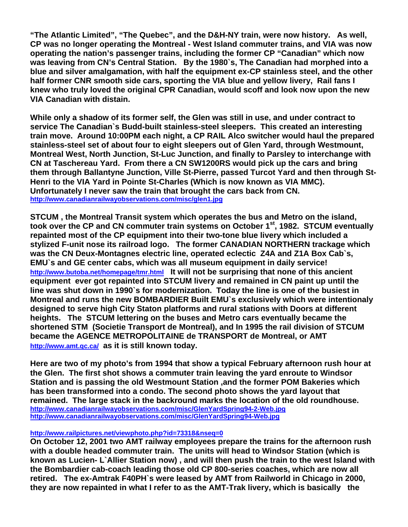**"The Atlantic Limited", "The Quebec", and the D&H-NY train, were now history. As well, CP was no longer operating the Montreal - West Island commuter trains, and VIA was now operating the nation's passenger trains, including the former CP "Canadian" which now was leaving from CN's Central Station. By the 1980`s, The Canadian had morphed into a blue and silver amalgamation, with half the equipment ex-CP stainless steel, and the other half former CNR smooth side cars, sporting the VIA blue and yellow livery, Rail fans I knew who truly loved the original CPR Canadian, would scoff and look now upon the new VIA Canadian with distain.** 

**While only a shadow of its former self, the Glen was still in use, and under contract to service The Canadian`s Budd-built stainless-steel sleepers. This created an interesting train move. Around 10:00PM each night, a CP RAIL Alco switcher would haul the prepared stainless-steel set of about four to eight sleepers out of Glen Yard, through Westmount, Montreal West, North Junction, St-Luc Junction, and finally to Parsley to interchange with CN at Taschereau Yard. From there a CN SW1200RS would pick up the cars and bring them through Ballantyne Junction, Ville St-Pierre, passed Turcot Yard and then through St-Henri to the VIA Yard in Pointe St-Charles (Which is now known as VIA MMC). Unfortunately I never saw the train that brought the cars back from CN. http://www.canadianrailwayobservations.com/misc/glen1.jpg**

**STCUM , the Montreal Transit system which operates the bus and Metro on the island, took over the CP and CN commuter train systems on October 1st, 1982. STCUM eventually repainted most of the CP equipment into their two-tone blue livery which included a stylized F-unit nose its railroad logo. The former CANADIAN NORTHERN trackage which was the CN Deux-Montagnes electric line, operated eclectic Z4A and Z1A Box Cab`s, EMU`s and GE center cabs, which was all museum equipment in daily service!**  http://www.butoba.net/homepage/tmr.html It will not be surprising that none of this ancient **equipment ever got repainted into STCUM livery and remained in CN paint up until the line was shut down in 1990`s for modernization. Today the line is one of the busiest in Montreal and runs the new BOMBARDIER Built EMU`s exclusively which were intentionaly designed to serve high City Staton platforms and rural stations with Doors at different heights. The STCUM lettering on the buses and Metro cars eventually became the shortened STM (Societie Transport de Montreal), and In 1995 the rail division of STCUM became the AGENCE METROPOLITAINE de TRANSPORT de Montreal, or AMT http://www.amt.qc.ca/ as it is still known today.** 

**Here are two of my photo's from 1994 that show a typical February afternoon rush hour at the Glen. The first shot shows a commuter train leaving the yard enroute to Windsor Station and is passing the old Westmount Station ,and the former POM Bakeries which has been transformed into a condo. The second photo shows the yard layout that remained. The large stack in the backround marks the location of the old roundhouse. http://www.canadianrailwayobservations.com/misc/GlenYardSpring94-2-Web.jpg http://www.canadianrailwayobservations.com/misc/GlenYardSpring94-Web.jpg**

#### **http://www.railpictures.net/viewphoto.php?id=73318&nseq=0**

**On October 12, 2001 two AMT railway employees prepare the trains for the afternoon rush with a double headed commuter train. The units will head to Windsor Station (which is known as Lucien- L`Allier Station now) , and will then push the train to the west Island with the Bombardier cab-coach leading those old CP 800-series coaches, which are now all retired. The ex-Amtrak F40PH`s were leased by AMT from Railworld in Chicago in 2000, they are now repainted in what I refer to as the AMT-Trak livery, which is basically the**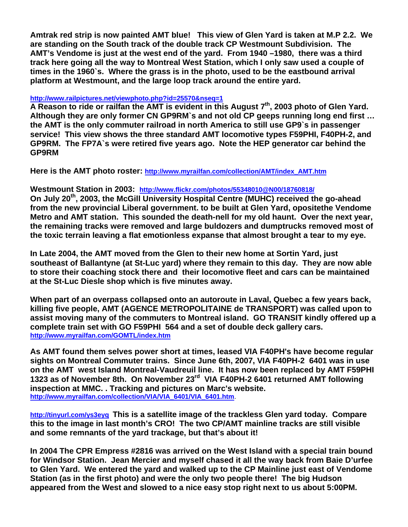**Amtrak red strip is now painted AMT blue! This view of Glen Yard is taken at M.P 2.2. We are standing on the South track of the double track CP Westmount Subdivision. The AMT's Vendome is just at the west end of the yard. From 1940 –1980, there was a third track here going all the way to Montreal West Station, which I only saw used a couple of times in the 1960`s. Where the grass is in the photo, used to be the eastbound arrival platform at Westmount, and the large loop track around the entire yard.** 

#### **http://www.railpictures.net/viewphoto.php?id=25570&nseq=1**

A Reason to ride or railfan the AMT is evident in this August 7<sup>th</sup>, 2003 photo of Glen Yard. **Although they are only former CN GP9RM`s and not old CP geeps running long end first … the AMT is the only commuter railroad in north America to still use GP9`s in passenger service! This view shows the three standard AMT locomotive types F59PHI, F40PH-2, and GP9RM. The FP7A`s were retired five years ago. Note the HEP generator car behind the GP9RM** 

**Here is the AMT photo roster: http://www.myrailfan.com/collection/AMT/index\_AMT.htm**

**Westmount Station in 2003: http://www.flickr.com/photos/55348010@N00/18760818/**

**On July 20th, 2003, the McGill University Hospital Centre (MUHC) received the go-ahead from the new provincial Liberal government. to be built at Glen Yard, opositethe Vendome Metro and AMT station. This sounded the death-nell for my old haunt. Over the next year, the remaining tracks were removed and large buldozers and dumptrucks removed most of the toxic terrain leaving a flat emotionless expanse that almost brought a tear to my eye.** 

**In Late 2004, the AMT moved from the Glen to their new home at Sortin Yard, just southeast of Ballantyne (at St-Luc yard) where they remain to this day. They are now able to store their coaching stock there and their locomotive fleet and cars can be maintained at the St-Luc Diesle shop which is five minutes away.** 

**When part of an overpass collapsed onto an autoroute in Laval, Quebec a few years back, killing five people, AMT (AGENCE METROPOLITAINE de TRANSPORT) was called upon to assist moving many of the commuters to Montreal island. GO TRANSIT kindly offered up a complete train set with GO F59PHI 564 and a set of double deck gallery cars. http://www.myrailfan.com/GOMTL/index.htm**

**As AMT found them selves power short at times, leased VIA F40PH's have become regular sights on Montreal Commuter trains. Since June 6th, 2007, VIA F40PH-2 6401 was in use on the AMT west Island Montreal-Vaudreuil line. It has now been replaced by AMT F59PHI 1323 as of November 8th. On November 23rd VIA F40PH-2 6401 returned AMT following inspection at MMC. . Tracking and pictures on Marc's website. http://www.myrailfan.com/collection/VIA/VIA\_6401/VIA\_6401.htm**.

**http://tinyurl.com/ys3eyq This is a satellite image of the trackless Glen yard today. Compare this to the image in last month's CRO! The two CP/AMT mainline tracks are still visible and some remnants of the yard trackage, but that's about it!** 

**In 2004 The CPR Empress #2816 was arrived on the West Island with a special train bound for Windsor Station. Jean Mercier and myself chased it all the way back from Baie D'urfee to Glen Yard. We entered the yard and walked up to the CP Mainline just east of Vendome Station (as in the first photo) and were the only two people there! The big Hudson appeared from the West and slowed to a nice easy stop right next to us about 5:00PM.**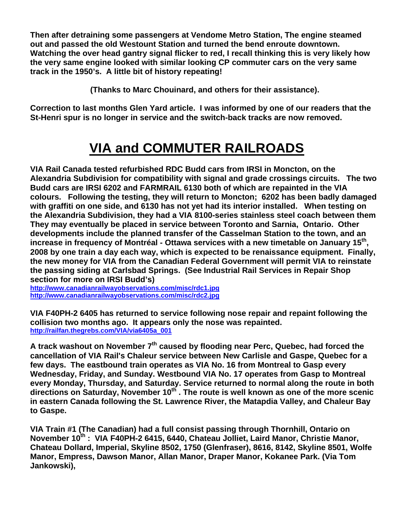**Then after detraining some passengers at Vendome Metro Station, The engine steamed out and passed the old Westount Station and turned the bend enroute downtown. Watching the over head gantry signal flicker to red, I recall thinking this is very likely how the very same engine looked with similar looking CP commuter cars on the very same track in the 1950's. A little bit of history repeating!**

 **(Thanks to Marc Chouinard, and others for their assistance).**

**Correction to last months Glen Yard article. I was informed by one of our readers that the St-Henri spur is no longer in service and the switch-back tracks are now removed.** 

## **VIA and COMMUTER RAILROADS**

**VIA Rail Canada tested refurbished RDC Budd cars from IRSI in Moncton, on the Alexandria Subdivision for compatibility with signal and grade crossings circuits. The two Budd cars are IRSI 6202 and FARMRAIL 6130 both of which are repainted in the VIA colours. Following the testing, they will return to Moncton; 6202 has been badly damaged with graffiti on one side, and 6130 has not yet had its interior installed. When testing on the Alexandria Subdivision, they had a VIA 8100-series stainless steel coach between them They may eventually be placed in service between Toronto and Sarnia, Ontario. Other developments include the planned transfer of the Casselman Station to the town, and an increase in frequency of Montréal - Ottawa services with a new timetable on January 15th, 2008 by one train a day each way, which is expected to be renaissance equipment. Finally, the new money for VIA from the Canadian Federal Government will permit VIA to reinstate the passing siding at Carlsbad Springs. (See Industrial Rail Services in Repair Shop section for more on IRSI Budd's)** 

**http://www.canadianrailwayobservations.com/misc/rdc1.jpg http://www.canadianrailwayobservations.com/misc/rdc2.jpg**

**VIA F40PH-2 6405 has returned to service following nose repair and repaint following the collision two months ago. It appears only the nose was repainted. http://railfan.thegrebs.com/VIA/via6405a\_001** 

A track washout on November 7<sup>th</sup> caused by flooding near Perc, Quebec, had forced the **cancellation of VIA Rail's Chaleur service between New Carlisle and Gaspe, Quebec for a few days. The eastbound train operates as VIA No. 16 from Montreal to Gasp every Wednesday, Friday, and Sunday. Westbound VIA No. 17 operates from Gasp to Montreal every Monday, Thursday, and Saturday. Service returned to normal along the route in both**  directions on Saturday, November 10<sup>th</sup>. The route is well known as one of the more scenic **in eastern Canada following the St. Lawrence River, the Matapdia Valley, and Chaleur Bay to Gaspe.** 

**VIA Train #1 (The Canadian) had a full consist passing through Thornhill, Ontario on November 10th : VIA F40PH-2 6415, 6440, Chateau Jolliet, Laird Manor, Christie Manor, Chateau Dollard, Imperial, Skyline 8502, 1750 (Glenfraser), 8616, 8142, Skyline 8501, Wolfe Manor, Empress, Dawson Manor, Allan Manor, Draper Manor, Kokanee Park. (Via Tom Jankowski),**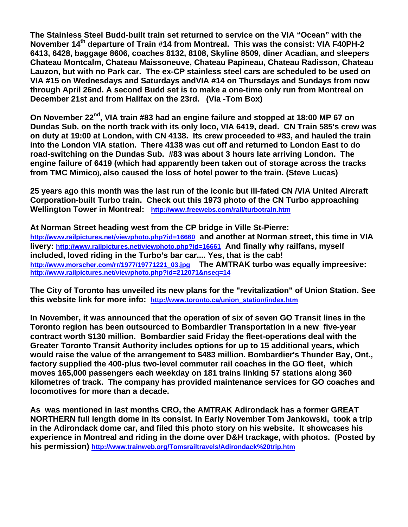**The Stainless Steel Budd-built train set returned to service on the VIA "Ocean" with the November 14th departure of Train #14 from Montreal. This was the consist: VIA F40PH-2 6413, 6428, baggage 8606, coaches 8132, 8108, Skyline 8509, diner Acadian, and sleepers Chateau Montcalm, Chateau Maissoneuve, Chateau Papineau, Chateau Radisson, Chateau Lauzon, but with no Park car. The ex-CP stainless steel cars are scheduled to be used on VIA #15 on Wednesdays and Saturdays andVIA #14 on Thursdays and Sundays from now through April 26nd. A second Budd set is to make a one-time only run from Montreal on December 21st and from Halifax on the 23rd. (Via -Tom Box)** 

**On November 22nd, VIA train #83 had an engine failure and stopped at 18:00 MP 67 on Dundas Sub. on the north track with its only loco, VIA 6419, dead. CN Train 585's crew was on duty at 19:00 at London, with CN 4138. Its crew proceeded to #83, and hauled the train into the London VIA station. There 4138 was cut off and returned to London East to do road-switching on the Dundas Sub. #83 was about 3 hours late arriving London. The engine failure of 6419 (which had apparently been taken out of storage across the tracks from TMC Mimico), also caused the loss of hotel power to the train. (Steve Lucas)** 

**25 years ago this month was the last run of the iconic but ill-fated CN /VIA United Aircraft Corporation-built Turbo train. Check out this 1973 photo of the CN Turbo approaching Wellington Tower in Montreal: http://www.freewebs.com/rail/turbotrain.htm** 

**At Norman Street heading west from the CP bridge in Ville St-Pierre: http://www.railpictures.net/viewphoto.php?id=16660 and another at Norman street, this time in VIA livery: http://www.railpictures.net/viewphoto.php?id=16661 And finally why railfans, myself included, loved riding in the Turbo's bar car.... Yes, that is the cab! http://www.morscher.com/rr/1977/19771221\_03.jpg The AMTRAK turbo was equally impreesive: http://www.railpictures.net/viewphoto.php?id=212071&nseq=14**

**The City of Toronto has unveiled its new plans for the "revitalization" of Union Station. See this website link for more info: http://www.toronto.ca/union\_station/index.htm** 

**In November, it was announced that the operation of six of seven GO Transit lines in the Toronto region has been outsourced to Bombardier Transportation in a new five-year contract worth \$130 million. Bombardier said Friday the fleet-operations deal with the Greater Toronto Transit Authority includes options for up to 15 additional years, which would raise the value of the arrangement to \$483 million. Bombardier's Thunder Bay, Ont., factory supplied the 400-plus two-level commuter rail coaches in the GO fleet, which moves 165,000 passengers each weekday on 181 trains linking 57 stations along 360 kilometres of track. The company has provided maintenance services for GO coaches and locomotives for more than a decade.** 

**As was mentioned in last months CRO, the AMTRAK Adirondack has a former GREAT NORTHERN full length dome in its consist. In Early November Tom Jankowski, took a trip in the Adirondack dome car, and filed this photo story on his website. It showcases his experience in Montreal and riding in the dome over D&H trackage, with photos. (Posted by his permission) http://www.trainweb.org/Tomsrailtravels/Adirondack%20trip.htm**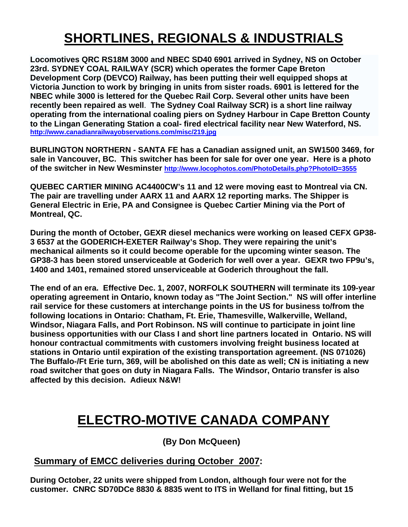# **SHORTLINES, REGIONALS & INDUSTRIALS**

**Locomotives QRC RS18M 3000 and NBEC SD40 6901 arrived in Sydney, NS on October 23rd. SYDNEY COAL RAILWAY (SCR) which operates the former Cape Breton Development Corp (DEVCO) Railway, has been putting their well equipped shops at Victoria Junction to work by bringing in units from sister roads. 6901 is lettered for the NBEC while 3000 is lettered for the Quebec Rail Corp. Several other units have been recently been repaired as well**. **The Sydney Coal Railway SCR) is a short line railway operating from the international coaling piers on Sydney Harbour in Cape Bretton County to the Lingan Generating Station a coal- fired electrical facility near New Waterford, NS. http://www.canadianrailwayobservations.com/misc/219.jpg** 

**BURLINGTON NORTHERN - SANTA FE has a Canadian assigned unit, an SW1500 3469, for sale in Vancouver, BC. This switcher has been for sale for over one year. Here is a photo of the switcher in New Wesminster http://www.locophotos.com/PhotoDetails.php?PhotoID=3555**

**QUEBEC CARTIER MINING AC4400CW's 11 and 12 were moving east to Montreal via CN. The pair are travelling under AARX 11 and AARX 12 reporting marks. The Shipper is General Electric in Erie, PA and Consignee is Quebec Cartier Mining via the Port of Montreal, QC.** 

**During the month of October, GEXR diesel mechanics were working on leased CEFX GP38- 3 6537 at the GODERICH-EXETER Railway's Shop. They were repairing the unit's mechanical ailments so it could become operable for the upcoming winter season. The GP38-3 has been stored unserviceable at Goderich for well over a year. GEXR two FP9u's, 1400 and 1401, remained stored unserviceable at Goderich throughout the fall.** 

**The end of an era. Effective Dec. 1, 2007, NORFOLK SOUTHERN will terminate its 109-year operating agreement in Ontario, known today as "The Joint Section." NS will offer interline rail service for these customers at interchange points in the US for business to/from the following locations in Ontario: Chatham, Ft. Erie, Thamesville, Walkerville, Welland, Windsor, Niagara Falls, and Port Robinson. NS will continue to participate in joint line business opportunities with our Class I and short line partners located in Ontario. NS will honour contractual commitments with customers involving freight business located at stations in Ontario until expiration of the existing transportation agreement. (NS 071026) The Buffalo-/Ft Erie turn, 369, will be abolished on this date as well; CN is initiating a new road switcher that goes on duty in Niagara Falls. The Windsor, Ontario transfer is also affected by this decision. Adieux N&W!** 

### **ELECTRO-MOTIVE CANADA COMPANY**

**(By Don McQueen)** 

#### **Summary of EMCC deliveries during October 2007:**

**During October, 22 units were shipped from London, although four were not for the customer. CNRC SD70DCe 8830 & 8835 went to ITS in Welland for final fitting, but 15**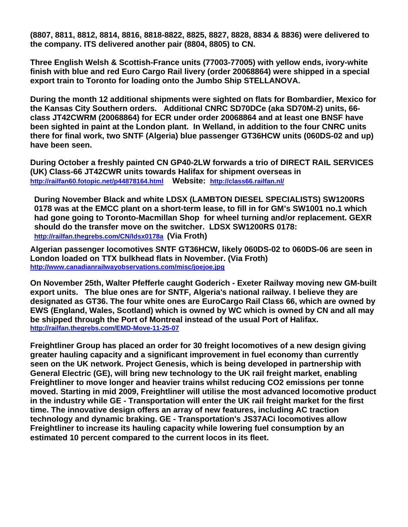**(8807, 8811, 8812, 8814, 8816, 8818-8822, 8825, 8827, 8828, 8834 & 8836) were delivered to the company. ITS delivered another pair (8804, 8805) to CN.** 

**Three English Welsh & Scottish-France units (77003-77005) with yellow ends, ivory-white finish with blue and red Euro Cargo Rail livery (order 20068864) were shipped in a special export train to Toronto for loading onto the Jumbo Ship STELLANOVA.** 

**During the month 12 additional shipments were sighted on flats for Bombardier, Mexico for the Kansas City Southern orders. Additional CNRC SD70DCe (aka SD70M-2) units, 66 class JT42CWRM (20068864) for ECR under order 20068864 and at least one BNSF have been sighted in paint at the London plant. In Welland, in addition to the four CNRC units there for final work, two SNTF (Algeria) blue passenger GT36HCW units (060DS-02 and up) have been seen.** 

**During October a freshly painted CN GP40-2LW forwards a trio of DIRECT RAIL SERVICES (UK) Class-66 JT42CWR units towards Halifax for shipment overseas in http://railfan60.fotopic.net/p44878164.html Website: http://class66.railfan.nl/**

**During November Black and white LDSX (LAMBTON DIESEL SPECIALISTS) SW1200RS 0178 was at the EMCC plant on a short-term lease, to fill in for GM's SW1001 no.1 which had gone going to Toronto-Macmillan Shop for wheel turning and/or replacement. GEXR should do the transfer move on the switcher. LDSX SW1200RS 0178: http://railfan.thegrebs.com/CN/ldsx0178a (Via Froth)** 

**Algerian passenger locomotives SNTF GT36HCW, likely 060DS-02 to 060DS-06 are seen in London loaded on TTX bulkhead flats in November. (Via Froth) http://www.canadianrailwayobservations.com/misc/joejoe.jpg**

**On November 25th, Walter Pfefferle caught Goderich - Exeter Railway moving new GM-built export units. The blue ones are for SNTF, Algeria's national railway. I believe they are designated as GT36. The four white ones are EuroCargo Rail Class 66, which are owned by EWS (England, Wales, Scotland) which is owned by WC which is owned by CN and all may be shipped through the Port of Montreal instead of the usual Port of Halifax. http://railfan.thegrebs.com/EMD-Move-11-25-07**

**Freightliner Group has placed an order for 30 freight locomotives of a new design giving greater hauling capacity and a significant improvement in fuel economy than currently seen on the UK network. Project Genesis, which is being developed in partnership with General Electric (GE), will bring new technology to the UK rail freight market, enabling Freightliner to move longer and heavier trains whilst reducing CO2 emissions per tonne moved. Starting in mid 2009, Freightliner will utilise the most advanced locomotive product in the industry while GE - Transportation will enter the UK rail freight market for the first time. The innovative design offers an array of new features, including AC traction technology and dynamic braking. GE - Transportation's JS37ACi locomotives allow Freightliner to increase its hauling capacity while lowering fuel consumption by an estimated 10 percent compared to the current locos in its fleet.**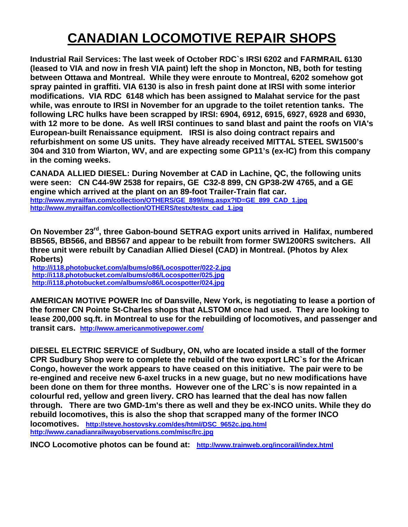## **CANADIAN LOCOMOTIVE REPAIR SHOPS**

**Industrial Rail Services: The last week of October RDC`s IRSI 6202 and FARMRAIL 6130 (leased to VIA and now in fresh VIA paint) left the shop in Moncton, NB, both for testing between Ottawa and Montreal. While they were enroute to Montreal, 6202 somehow got spray painted in graffiti. VIA 6130 is also in fresh paint done at IRSI with some interior modifications. VIA RDC 6148 which has been assigned to Malahat service for the past while, was enroute to IRSI in November for an upgrade to the toilet retention tanks. The following LRC hulks have been scrapped by IRSI: 6904, 6912, 6915, 6927, 6928 and 6930, with 12 more to be done. As well IRSI continues to sand blast and paint the roofs on VIA's European-built Renaissance equipment. IRSI is also doing contract repairs and refurbishment on some US units. They have already received MITTAL STEEL SW1500's 304 and 310 from Wiarton, WV, and are expecting some GP11's (ex-IC) from this company in the coming weeks.** 

**CANADA ALLIED DIESEL: During November at CAD in Lachine, QC, the following units were seen: CN C44-9W 2538 for repairs, GE C32-8 899, CN GP38-2W 4765, and a GE engine which arrived at the plant on an 89-foot Trailer-Train flat car. http://www.myrailfan.com/collection/OTHERS/GE\_899/img.aspx?ID=GE\_899\_CAD\_1.jpg http://www.myrailfan.com/collection/OTHERS/testx/testx\_cad\_1.jpg**

**On November 23rd, three Gabon-bound SETRAG export units arrived in Halifax, numbered BB565, BB566, and BB567 and appear to be rebuilt from former SW1200RS switchers. All three unit were rebuilt by Canadian Allied Diesel (CAD) in Montreal. (Photos by Alex Roberts)** 

**http://i118.photobucket.com/albums/o86/Locospotter/022-2.jpg http://i118.photobucket.com/albums/o86/Locospotter/025.jpg http://i118.photobucket.com/albums/o86/Locospotter/024.jpg**

**AMERICAN MOTIVE POWER Inc of Dansville, New York, is negotiating to lease a portion of the former CN Pointe St-Charles shops that ALSTOM once had used. They are looking to lease 200,000 sq.ft. in Montreal to use for the rebuilding of locomotives, and passenger and transit cars. http://www.americanmotivepower.com/**

**DIESEL ELECTRIC SERVICE of Sudbury, ON, who are located inside a stall of the former CPR Sudbury Shop were to complete the rebuild of the two export LRC`s for the African Congo, however the work appears to have ceased on this initiative. The pair were to be re-engined and receive new 6-axel trucks in a new guage, but no new modifications have been done on them for three months. However one of the LRC`s is now repainted in a colourful red, yellow and green livery. CRO has learned that the deal has now fallen through. There are two GMD-1m's there as well and they be ex-INCO units. While they do rebuild locomotives, this is also the shop that scrapped many of the former INCO locomotives. http://steve.hostovsky.com/des/html/DSC\_9652c.jpg.html http://www.canadianrailwayobservations.com/misc/lrc.jpg** 

**INCO Locomotive photos can be found at: http://www.trainweb.org/incorail/index.html**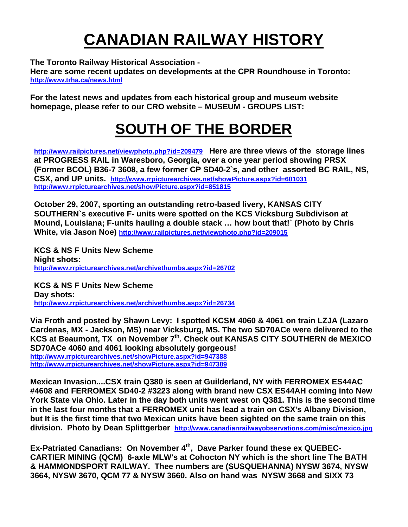# **CANADIAN RAILWAY HISTORY**

**The Toronto Railway Historical Association -** 

**Here are some recent updates on developments at the CPR Roundhouse in Toronto: http://www.trha.ca/news.html**

**For the latest news and updates from each historical group and museum website homepage, please refer to our CRO website – MUSEUM - GROUPS LIST:** 

# **SOUTH OF THE BORDER**

**http://www.railpictures.net/viewphoto.php?id=209479 Here are three views of the storage lines at PROGRESS RAIL in Waresboro, Georgia, over a one year period showing PRSX (Former BCOL) B36-7 3608, a few former CP SD40-2`s, and other assorted BC RAIL, NS, CSX, and UP units. http://www.rrpicturearchives.net/showPicture.aspx?id=601031 http://www.rrpicturearchives.net/showPicture.aspx?id=851815**

**October 29, 2007, sporting an outstanding retro-based livery, KANSAS CITY SOUTHERN`s executive F- units were spotted on the KCS Vicksburg Subdivison at Mound, Louisiana; F-units hauling a double stack … how bout that!` (Photo by Chris White, via Jason Noe) http://www.railpictures.net/viewphoto.php?id=209015**

**KCS & NS F Units New Scheme Night shots: http://www.rrpicturearchives.net/archivethumbs.aspx?id=26702**

**KCS & NS F Units New Scheme Day shots: http://www.rrpicturearchives.net/archivethumbs.aspx?id=26734**

**Via Froth and posted by Shawn Levy: I spotted KCSM 4060 & 4061 on train LZJA (Lazaro Cardenas, MX - Jackson, MS) near Vicksburg, MS. The two SD70ACe were delivered to the**  KCS at Beaumont, TX on November 7<sup>th</sup>. Check out KANSAS CITY SOUTHERN de MEXICO **SD70ACe 4060 and 4061 looking absolutely gorgeous! http://www.rrpicturearchives.net/showPicture.aspx?id=947388 http://www.rrpicturearchives.net/showPicture.aspx?id=947389**

**Mexican Invasion....CSX train Q380 is seen at Guilderland, NY with FERROMEX ES44AC #4608 and FERROMEX SD40-2 #3223 along with brand new CSX ES44AH coming into New York State via Ohio. Later in the day both units went west on Q381. This is the second time in the last four months that a FERROMEX unit has lead a train on CSX's Albany Division, but It is the first time that two Mexican units have been sighted on the same train on this division. Photo by Dean Splittgerber http://www.canadianrailwayobservations.com/misc/mexico.jpg**

Ex-Patriated Canadians: On November 4<sup>th</sup>, Dave Parker found these ex QUEBEC-**CARTIER MINING (QCM) 6-axle MLW's at Cohocton NY which is the short line The BATH & HAMMONDSPORT RAILWAY. Thee numbers are (SUSQUEHANNA) NYSW 3674, NYSW 3664, NYSW 3670, QCM 77 & NYSW 3660. Also on hand was NYSW 3668 and SIXX 73**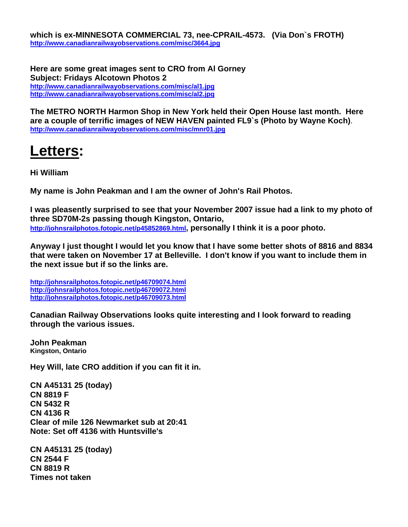**which is ex-MINNESOTA COMMERCIAL 73, nee-CPRAIL-4573. (Via Don`s FROTH) http://www.canadianrailwayobservations.com/misc/3664.jpg**

**Here are some great images sent to CRO from Al Gorney Subject: Fridays Alcotown Photos 2 http://www.canadianrailwayobservations.com/misc/al1.jpg http://www.canadianrailwayobservations.com/misc/al2.jpg**

**The METRO NORTH Harmon Shop in New York held their Open House last month. Here are a couple of terrific images of NEW HAVEN painted FL9`s (Photo by Wayne Koch)**. **http://www.canadianrailwayobservations.com/misc/mnr01.jpg**

# **Letters:**

**Hi William** 

**My name is John Peakman and I am the owner of John's Rail Photos.** 

**I was pleasently surprised to see that your November 2007 issue had a link to my photo of three SD70M-2s passing though Kingston, Ontario, http://johnsrailphotos.fotopic.net/p45852869.html, personally I think it is a poor photo.** 

**Anyway I just thought I would let you know that I have some better shots of 8816 and 8834 that were taken on November 17 at Belleville. I don't know if you want to include them in the next issue but if so the links are.** 

**http://johnsrailphotos.fotopic.net/p46709074.html http://johnsrailphotos.fotopic.net/p46709072.html http://johnsrailphotos.fotopic.net/p46709073.html**

**Canadian Railway Observations looks quite interesting and I look forward to reading through the various issues.** 

**John Peakman Kingston, Ontario** 

**Hey Will, late CRO addition if you can fit it in.** 

**CN A45131 25 (today) CN 8819 F CN 5432 R CN 4136 R Clear of mile 126 Newmarket sub at 20:41 Note: Set off 4136 with Huntsville's** 

**CN A45131 25 (today) CN 2544 F CN 8819 R Times not taken**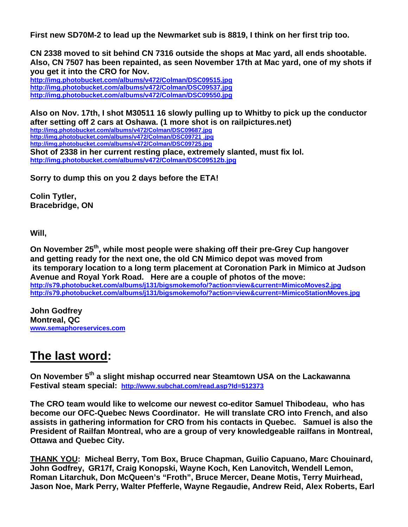**First new SD70M-2 to lead up the Newmarket sub is 8819, I think on her first trip too.** 

**CN 2338 moved to sit behind CN 7316 outside the shops at Mac yard, all ends shootable. Also, CN 7507 has been repainted, as seen November 17th at Mac yard, one of my shots if you get it into the CRO for Nov.** 

**http://img.photobucket.com/albums/v472/Colman/DSC09515.jpg http://img.photobucket.com/albums/v472/Colman/DSC09537.jpg http://img.photobucket.com/albums/v472/Colman/DSC09550.jpg**

**Also on Nov. 17th, I shot M30511 16 slowly pulling up to Whitby to pick up the conductor after setting off 2 cars at Oshawa. (1 more shot is on railpictures.net) http://img.photobucket.com/albums/v472/Colman/DSC09687.jpg http://img.photobucket.com/albums/v472/Colman/DSC09721 .jpg http://img.photobucket.com/albums/v472/Colman/DSC09725.jpg Shot of 2338 in her current resting place, extremely slanted, must fix lol. http://img.photobucket.com/albums/v472/Colman/DSC09512b.jpg**

**Sorry to dump this on you 2 days before the ETA!** 

**Colin Tytler, Bracebridge, ON** 

**Will,** 

**On November 25th, while most people were shaking off their pre-Grey Cup hangover and getting ready for the next one, the old CN Mimico depot was moved from its temporary location to a long term placement at Coronation Park in Mimico at Judson Avenue and Royal York Road. Here are a couple of photos of the move:**  http://s79.photobucket.com/albums/j131/bigsmokemofo/?action=view&current=MimicoMoves2.jpg http://s79.photobucket.com/albums/j131/bigsmokemofo/?action=view&current=MimicoStationMoves.jpg

**John Godfrey Montreal, QC www.semaphoreservices.com**

### **The last word:**

**On November 5th a slight mishap occurred near Steamtown USA on the Lackawanna Festival steam special: http://www.subchat.com/read.asp?Id=512373**

**The CRO team would like to welcome our newest co-editor Samuel Thibodeau, who has become our OFC-Quebec News Coordinator. He will translate CRO into French, and also assists in gathering information for CRO from his contacts in Quebec. Samuel is also the President of Railfan Montreal, who are a group of very knowledgeable railfans in Montreal, Ottawa and Quebec City.** 

**THANK YOU: Micheal Berry, Tom Box, Bruce Chapman, Guilio Capuano, Marc Chouinard, John Godfrey, GR17f, Craig Konopski, Wayne Koch, Ken Lanovitch, Wendell Lemon, Roman Litarchuk, Don McQueen's "Froth", Bruce Mercer, Deane Motis, Terry Muirhead, Jason Noe, Mark Perry, Walter Pfefferle, Wayne Regaudie, Andrew Reid, Alex Roberts, Earl**